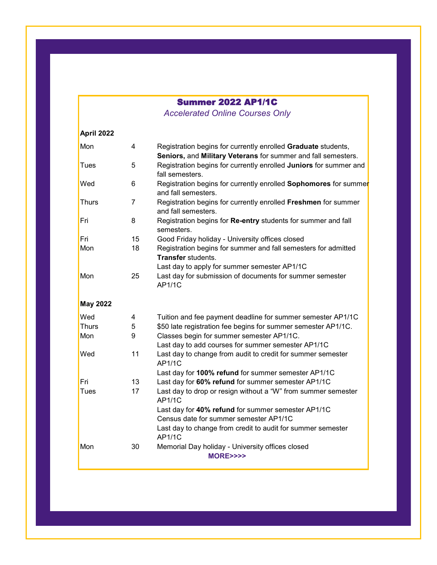## Summer 2022 AP1/1C

*Accelerated Online Courses Only* 

| April 2022      |                |                                                                                                                                |  |  |
|-----------------|----------------|--------------------------------------------------------------------------------------------------------------------------------|--|--|
| Mon             | $\overline{4}$ | Registration begins for currently enrolled Graduate students,<br>Seniors, and Military Veterans for summer and fall semesters. |  |  |
| Tues            | 5              | Registration begins for currently enrolled Juniors for summer and<br>fall semesters.                                           |  |  |
| Wed             | 6              | Registration begins for currently enrolled <b>Sophomores</b> for summer<br>and fall semesters.                                 |  |  |
| <b>Thurs</b>    | $\overline{7}$ | Registration begins for currently enrolled Freshmen for summer<br>and fall semesters.                                          |  |  |
| Fri             | 8              | Registration begins for Re-entry students for summer and fall<br>semesters.                                                    |  |  |
| Fri             | 15             | Good Friday holiday - University offices closed                                                                                |  |  |
| Mon             | 18             | Registration begins for summer and fall semesters for admitted<br><b>Transfer students.</b>                                    |  |  |
|                 |                | Last day to apply for summer semester AP1/1C                                                                                   |  |  |
| Mon             | 25             | Last day for submission of documents for summer semester<br><b>AP1/1C</b>                                                      |  |  |
| <b>May 2022</b> |                |                                                                                                                                |  |  |
| Wed             | 4              | Tuition and fee payment deadline for summer semester AP1/1C                                                                    |  |  |
| Thurs           | 5              | \$50 late registration fee begins for summer semester AP1/1C.                                                                  |  |  |
| Mon             | 9              | Classes begin for summer semester AP1/1C.                                                                                      |  |  |
|                 |                | Last day to add courses for summer semester AP1/1C                                                                             |  |  |
| Wed             | 11             | Last day to change from audit to credit for summer semester<br><b>AP1/1C</b>                                                   |  |  |
|                 |                | Last day for 100% refund for summer semester AP1/1C                                                                            |  |  |
| Fri             | 13             | Last day for 60% refund for summer semester AP1/1C                                                                             |  |  |
| Tues            | 17             | Last day to drop or resign without a "W" from summer semester<br>AP1/1C                                                        |  |  |
|                 |                | Last day for 40% refund for summer semester AP1/1C                                                                             |  |  |
|                 |                | Census date for summer semester AP1/1C                                                                                         |  |  |
|                 |                | Last day to change from credit to audit for summer semester<br><b>AP1/1C</b>                                                   |  |  |
| Mon             | 30             | Memorial Day holiday - University offices closed<br><b>MORE&gt;&gt;&gt;&gt;</b>                                                |  |  |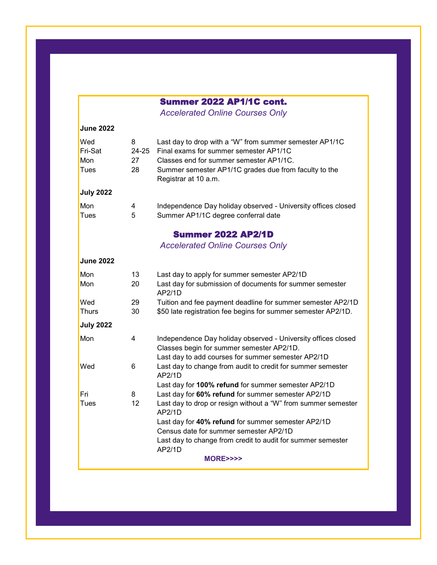# Summer 2022 AP1/1C cont.

*Accelerated Online Courses Only* 

| <b>June 2022</b>              |                        |                                                                                                                                                                                                                               |  |  |  |  |
|-------------------------------|------------------------|-------------------------------------------------------------------------------------------------------------------------------------------------------------------------------------------------------------------------------|--|--|--|--|
| Wed<br>Fri-Sat<br>Mon<br>Tues | 8<br>24-25<br>27<br>28 | Last day to drop with a "W" from summer semester AP1/1C<br>Final exams for summer semester AP1/1C<br>Classes end for summer semester AP1/1C.<br>Summer semester AP1/1C grades due from faculty to the<br>Registrar at 10 a.m. |  |  |  |  |
| <b>July 2022</b>              |                        |                                                                                                                                                                                                                               |  |  |  |  |
| Mon<br>Tues                   | 4<br>5                 | Independence Day holiday observed - University offices closed<br>Summer AP1/1C degree conferral date                                                                                                                          |  |  |  |  |
|                               |                        | <b>Summer 2022 AP2/1D</b>                                                                                                                                                                                                     |  |  |  |  |
|                               |                        | <b>Accelerated Online Courses Only</b>                                                                                                                                                                                        |  |  |  |  |
| <b>June 2022</b>              |                        |                                                                                                                                                                                                                               |  |  |  |  |
| Mon<br>Mon                    | 13<br>20               | Last day to apply for summer semester AP2/1D<br>Last day for submission of documents for summer semester<br>AP2/1D                                                                                                            |  |  |  |  |
| Wed<br>Thurs                  | 29<br>30               | Tuition and fee payment deadline for summer semester AP2/1D<br>\$50 late registration fee begins for summer semester AP2/1D.                                                                                                  |  |  |  |  |
| <b>July 2022</b>              |                        |                                                                                                                                                                                                                               |  |  |  |  |
| Mon                           | 4                      | Independence Day holiday observed - University offices closed<br>Classes begin for summer semester AP2/1D.<br>Last day to add courses for summer semester AP2/1D                                                              |  |  |  |  |
| Wed                           | 6                      | Last day to change from audit to credit for summer semester<br>AP2/1D                                                                                                                                                         |  |  |  |  |
| Fri                           | 8                      | Last day for 100% refund for summer semester AP2/1D<br>Last day for 60% refund for summer semester AP2/1D                                                                                                                     |  |  |  |  |
| Tues                          | 12                     | Last day to drop or resign without a "W" from summer semester<br>AP2/1D                                                                                                                                                       |  |  |  |  |
|                               |                        | Last day for 40% refund for summer semester AP2/1D<br>Census date for summer semester AP2/1D                                                                                                                                  |  |  |  |  |
|                               |                        | Last day to change from credit to audit for summer semester<br>AP2/1D                                                                                                                                                         |  |  |  |  |
| <b>MORE&gt;&gt;&gt;&gt;</b>   |                        |                                                                                                                                                                                                                               |  |  |  |  |